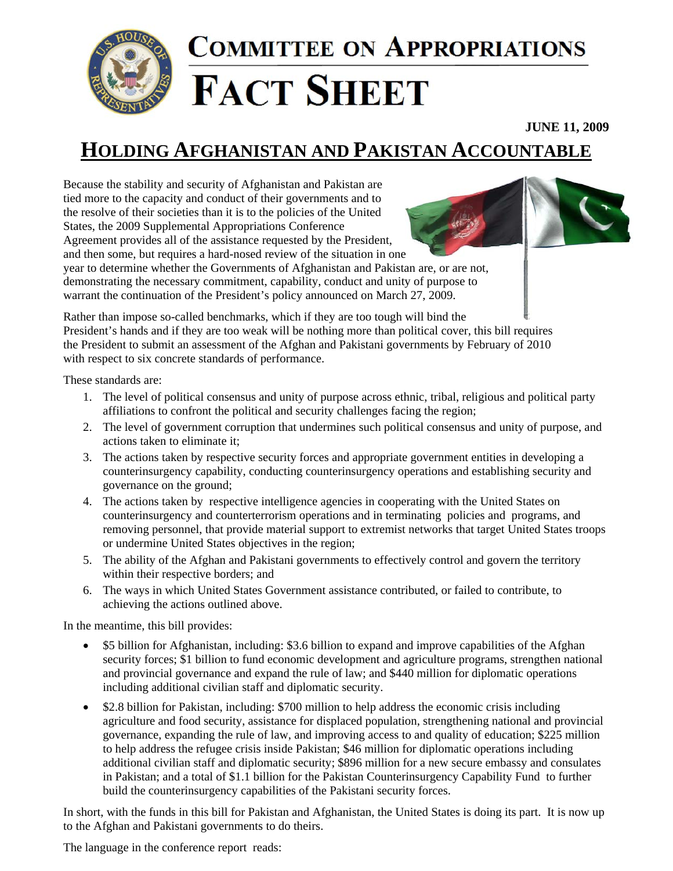

## **COMMITTEE ON APPROPRIATIONS FACT SHEET**

**JUNE 11, 2009**

## **HOLDING AFGHANISTAN AND PAKISTAN ACCOUNTABLE**

Because the stability and security of Afghanistan and Pakistan are tied more to the capacity and conduct of their governments and to the resolve of their societies than it is to the policies of the United States, the 2009 Supplemental Appropriations Conference Agreement provides all of the assistance requested by the President, and then some, but requires a hard-nosed review of the situation in one



year to determine whether the Governments of Afghanistan and Pakistan are, or are not, demonstrating the necessary commitment, capability, conduct and unity of purpose to warrant the continuation of the President's policy announced on March 27, 2009.

Rather than impose so-called benchmarks, which if they are too tough will bind the President's hands and if they are too weak will be nothing more than political cover, this bill requires the President to submit an assessment of the Afghan and Pakistani governments by February of 2010 with respect to six concrete standards of performance.

These standards are:

- 1. The level of political consensus and unity of purpose across ethnic, tribal, religious and political party affiliations to confront the political and security challenges facing the region;
- 2. The level of government corruption that undermines such political consensus and unity of purpose, and actions taken to eliminate it;
- 3. The actions taken by respective security forces and appropriate government entities in developing a counterinsurgency capability, conducting counterinsurgency operations and establishing security and governance on the ground;
- 4. The actions taken by respective intelligence agencies in cooperating with the United States on counterinsurgency and counterterrorism operations and in terminating policies and programs, and removing personnel, that provide material support to extremist networks that target United States troops or undermine United States objectives in the region;
- 5. The ability of the Afghan and Pakistani governments to effectively control and govern the territory within their respective borders; and
- 6. The ways in which United States Government assistance contributed, or failed to contribute, to achieving the actions outlined above.

In the meantime, this bill provides:

- \$5 billion for Afghanistan, including: \$3.6 billion to expand and improve capabilities of the Afghan security forces; \$1 billion to fund economic development and agriculture programs, strengthen national and provincial governance and expand the rule of law; and \$440 million for diplomatic operations including additional civilian staff and diplomatic security.
- \$2.8 billion for Pakistan, including: \$700 million to help address the economic crisis including agriculture and food security, assistance for displaced population, strengthening national and provincial governance, expanding the rule of law, and improving access to and quality of education; \$225 million to help address the refugee crisis inside Pakistan; \$46 million for diplomatic operations including additional civilian staff and diplomatic security; \$896 million for a new secure embassy and consulates in Pakistan; and a total of \$1.1 billion for the Pakistan Counterinsurgency Capability Fund to further build the counterinsurgency capabilities of the Pakistani security forces.

In short, with the funds in this bill for Pakistan and Afghanistan, the United States is doing its part. It is now up to the Afghan and Pakistani governments to do theirs.

The language in the conference report reads: